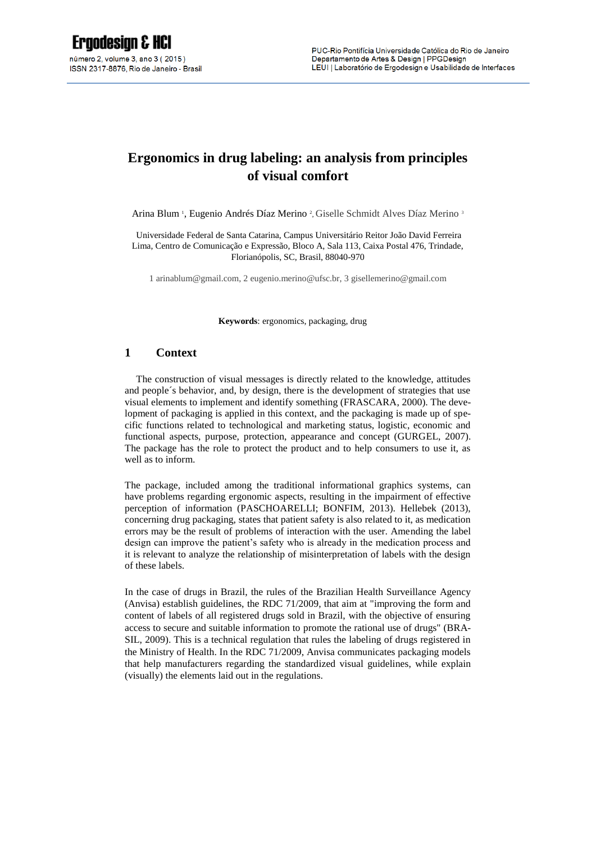# **Ergonomics in drug labeling: an analysis from principles of visual comfort**

Arina Blum<sup>1</sup>, Eugenio Andrés Díaz Merino<sup>2</sup>, Giselle Schmidt Alves Díaz Merino<sup>3</sup>

Universidade Federal de Santa Catarina, Campus Universitário Reitor João David Ferreira Lima, Centro de Comunicação e Expressão, Bloco A, Sala 113, Caixa Postal 476, Trindade, Florianópolis, SC, Brasil, 88040-970

1 arinablum@gmail.com, 2 [eugenio.merino@ufsc.br,](mailto:2email%20author%202) 3 gisellemerino@gmail.com

**Keywords**: ergonomics, packaging, drug

#### **1 Context**

The construction of visual messages is directly related to the knowledge, attitudes and people´s behavior, and, by design, there is the development of strategies that use visual elements to implement and identify something (FRASCARA, 2000). The development of packaging is applied in this context, and the packaging is made up of specific functions related to technological and marketing status, logistic, economic and functional aspects, purpose, protection, appearance and concept (GURGEL, 2007). The package has the role to protect the product and to help consumers to use it, as well as to inform.

The package, included among the traditional informational graphics systems, can have problems regarding ergonomic aspects, resulting in the impairment of effective perception of information (PASCHOARELLI; BONFIM, 2013). Hellebek (2013), concerning drug packaging, states that patient safety is also related to it, as medication errors may be the result of problems of interaction with the user. Amending the label design can improve the patient's safety who is already in the medication process and it is relevant to analyze the relationship of misinterpretation of labels with the design of these labels.

In the case of drugs in Brazil, the rules of the Brazilian Health Surveillance Agency (Anvisa) establish guidelines, the RDC 71/2009, that aim at "improving the form and content of labels of all registered drugs sold in Brazil, with the objective of ensuring access to secure and suitable information to promote the rational use of drugs" (BRA-SIL, 2009). This is a technical regulation that rules the labeling of drugs registered in the Ministry of Health. In the RDC 71/2009, Anvisa communicates packaging models that help manufacturers regarding the standardized visual guidelines, while explain (visually) the elements laid out in the regulations.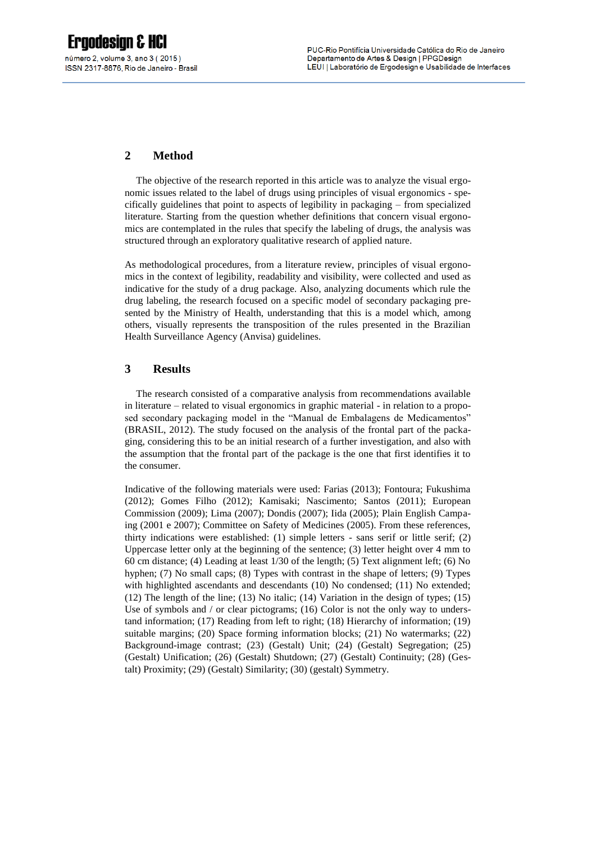## **2 Method**

The objective of the research reported in this article was to analyze the visual ergonomic issues related to the label of drugs using principles of visual ergonomics - specifically guidelines that point to aspects of legibility in packaging – from specialized literature. Starting from the question whether definitions that concern visual ergonomics are contemplated in the rules that specify the labeling of drugs, the analysis was structured through an exploratory qualitative research of applied nature.

As methodological procedures, from a literature review, principles of visual ergonomics in the context of legibility, readability and visibility, were collected and used as indicative for the study of a drug package. Also, analyzing documents which rule the drug labeling, the research focused on a specific model of secondary packaging presented by the Ministry of Health, understanding that this is a model which, among others, visually represents the transposition of the rules presented in the Brazilian Health Surveillance Agency (Anvisa) guidelines.

### **3 Results**

The research consisted of a comparative analysis from recommendations available in literature – related to visual ergonomics in graphic material - in relation to a proposed secondary packaging model in the "Manual de Embalagens de Medicamentos" (BRASIL, 2012). The study focused on the analysis of the frontal part of the packaging, considering this to be an initial research of a further investigation, and also with the assumption that the frontal part of the package is the one that first identifies it to the consumer.

Indicative of the following materials were used: Farias (2013); Fontoura; Fukushima (2012); Gomes Filho (2012); Kamisaki; Nascimento; Santos (2011); European Commission (2009); Lima (2007); Dondis (2007); Iida (2005); Plain English Campaing (2001 e 2007); Committee on Safety of Medicines (2005). From these references, thirty indications were established: (1) simple letters - sans serif or little serif; (2) Uppercase letter only at the beginning of the sentence; (3) letter height over 4 mm to 60 cm distance; (4) Leading at least 1/30 of the length; (5) Text alignment left; (6) No hyphen; (7) No small caps; (8) Types with contrast in the shape of letters; (9) Types with highlighted ascendants and descendants (10) No condensed; (11) No extended; (12) The length of the line; (13) No italic; (14) Variation in the design of types; (15) Use of symbols and / or clear pictograms; (16) Color is not the only way to understand information; (17) Reading from left to right; (18) Hierarchy of information; (19) suitable margins; (20) Space forming information blocks; (21) No watermarks; (22) Background-image contrast; (23) (Gestalt) Unit; (24) (Gestalt) Segregation; (25) (Gestalt) Unification; (26) (Gestalt) Shutdown; (27) (Gestalt) Continuity; (28) (Gestalt) Proximity; (29) (Gestalt) Similarity; (30) (gestalt) Symmetry.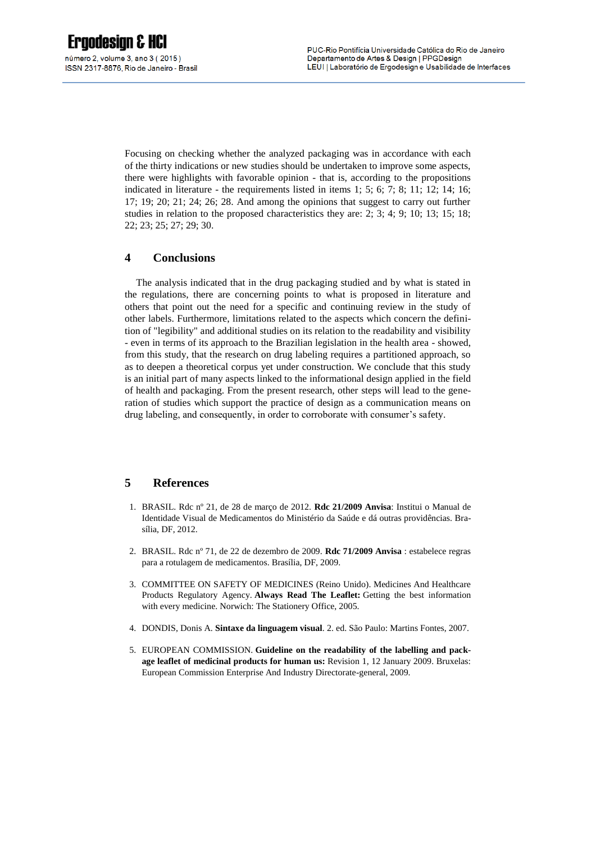Focusing on checking whether the analyzed packaging was in accordance with each of the thirty indications or new studies should be undertaken to improve some aspects, there were highlights with favorable opinion - that is, according to the propositions indicated in literature - the requirements listed in items 1; 5; 6; 7; 8; 11; 12; 14; 16; 17; 19; 20; 21; 24; 26; 28. And among the opinions that suggest to carry out further studies in relation to the proposed characteristics they are: 2; 3; 4; 9; 10; 13; 15; 18; 22; 23; 25; 27; 29; 30.

#### **4 Conclusions**

The analysis indicated that in the drug packaging studied and by what is stated in the regulations, there are concerning points to what is proposed in literature and others that point out the need for a specific and continuing review in the study of other labels. Furthermore, limitations related to the aspects which concern the definition of "legibility" and additional studies on its relation to the readability and visibility - even in terms of its approach to the Brazilian legislation in the health area - showed, from this study, that the research on drug labeling requires a partitioned approach, so as to deepen a theoretical corpus yet under construction. We conclude that this study is an initial part of many aspects linked to the informational design applied in the field of health and packaging. From the present research, other steps will lead to the generation of studies which support the practice of design as a communication means on drug labeling, and consequently, in order to corroborate with consumer's safety.

### **5 References**

- 1. BRASIL. Rdc nº 21, de 28 de março de 2012. **Rdc 21/2009 Anvisa**: Institui o Manual de Identidade Visual de Medicamentos do Ministério da Saúde e dá outras providências. Brasília, DF, 2012.
- 2. BRASIL. Rdc nº 71, de 22 de dezembro de 2009. **Rdc 71/2009 Anvisa** : estabelece regras para a rotulagem de medicamentos. Brasília, DF, 2009.
- 3. COMMITTEE ON SAFETY OF MEDICINES (Reino Unido). Medicines And Healthcare Products Regulatory Agency. **Always Read The Leaflet:** Getting the best information with every medicine. Norwich: The Stationery Office, 2005.
- 4. DONDIS, Donis A. **Sintaxe da linguagem visual**. 2. ed. São Paulo: Martins Fontes, 2007.
- 5. EUROPEAN COMMISSION. **Guideline on the readability of the labelling and package leaflet of medicinal products for human us:** Revision 1, 12 January 2009. Bruxelas: European Commission Enterprise And Industry Directorate-general, 2009.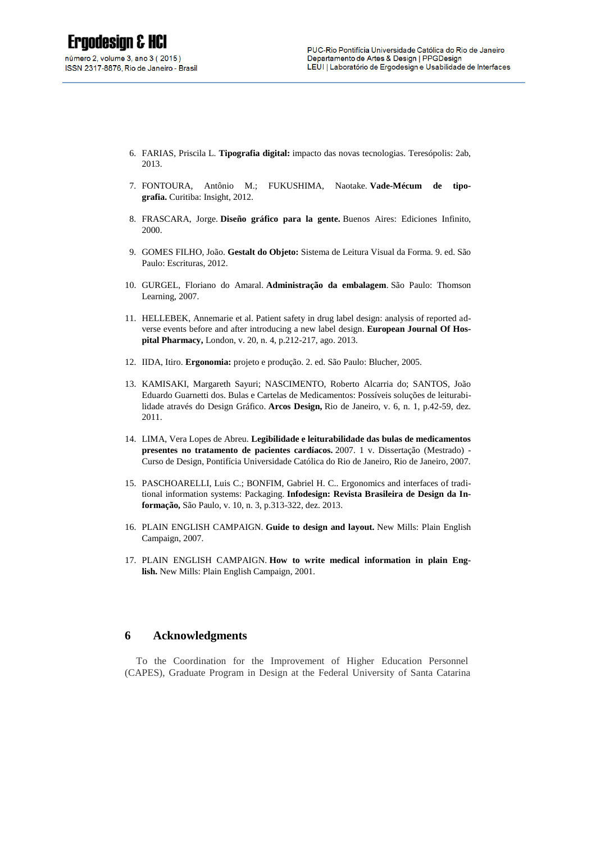- 6. FARIAS, Priscila L. **Tipografia digital:** impacto das novas tecnologias. Teresópolis: 2ab, 2013.
- 7. FONTOURA, Antônio M.; FUKUSHIMA, Naotake. **Vade-Mécum de tipografia.** Curitiba: Insight, 2012.
- 8. FRASCARA, Jorge. **Diseño gráfico para la gente.** Buenos Aires: Ediciones Infinito, 2000.
- 9. GOMES FILHO, João. **Gestalt do Objeto:** Sistema de Leitura Visual da Forma. 9. ed. São Paulo: Escrituras, 2012.
- 10. GURGEL, Floriano do Amaral. **Administração da embalagem**. São Paulo: Thomson Learning, 2007.
- 11. HELLEBEK, Annemarie et al. Patient safety in drug label design: analysis of reported adverse events before and after introducing a new label design. **European Journal Of Hospital Pharmacy,** London, v. 20, n. 4, p.212-217, ago. 2013.
- 12. IIDA, Itiro. **Ergonomia:** projeto e produção. 2. ed. São Paulo: Blucher, 2005.
- 13. KAMISAKI, Margareth Sayuri; NASCIMENTO, Roberto Alcarria do; SANTOS, João Eduardo Guarnetti dos. Bulas e Cartelas de Medicamentos: Possíveis soluções de leiturabilidade através do Design Gráfico. **Arcos Design,** Rio de Janeiro, v. 6, n. 1, p.42-59, dez. 2011.
- 14. LIMA, Vera Lopes de Abreu. **Legibilidade e leiturabilidade das bulas de medicamentos presentes no tratamento de pacientes cardíacos.** 2007. 1 v. Dissertação (Mestrado) - Curso de Design, Pontifícia Universidade Católica do Rio de Janeiro, Rio de Janeiro, 2007.
- 15. PASCHOARELLI, Luis C.; BONFIM, Gabriel H. C.. Ergonomics and interfaces of traditional information systems: Packaging. **Infodesign: Revista Brasileira de Design da Informação,** São Paulo, v. 10, n. 3, p.313-322, dez. 2013.
- 16. PLAIN ENGLISH CAMPAIGN. **Guide to design and layout.** New Mills: Plain English Campaign, 2007.
- 17. PLAIN ENGLISH CAMPAIGN. **How to write medical information in plain English.** New Mills: Plain English Campaign, 2001.

#### **6 Acknowledgments**

To the Coordination for the Improvement of Higher Education Personnel (CAPES), Graduate Program in Design at the Federal University of Santa Catarina